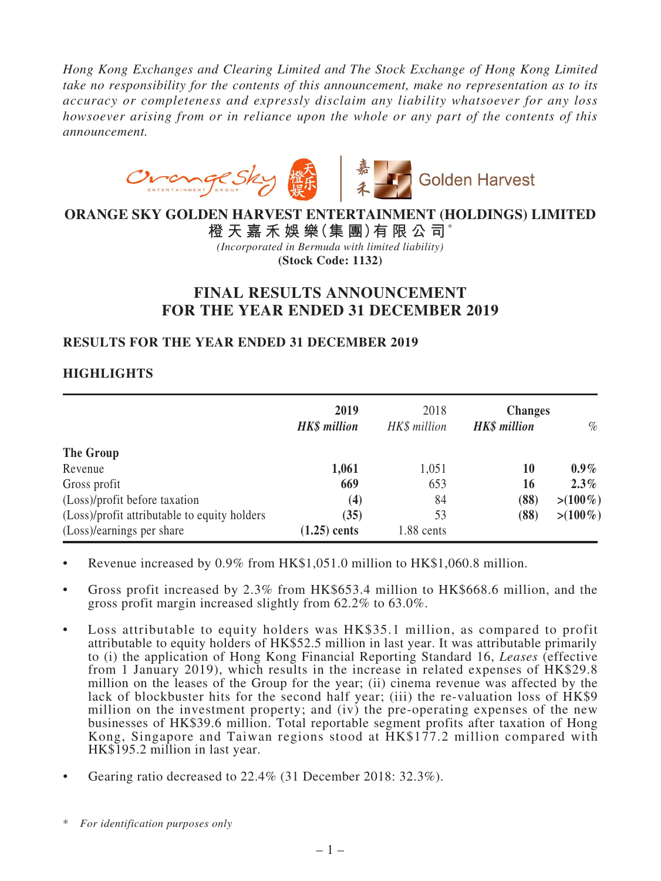*Hong Kong Exchanges and Clearing Limited and The Stock Exchange of Hong Kong Limited take no responsibility for the contents of this announcement, make no representation as to its accuracy or completeness and expressly disclaim any liability whatsoever for any loss howsoever arising from or in reliance upon the whole or any part of the contents of this announcement.*



## **ORANGE SKY GOLDEN HARVEST ENTERTAINMENT (HOLDINGS) LIMITED**

**橙 天 嘉 禾 娛 樂(集 團)有 限 公 司**\* *(Incorporated in Bermuda with limited liability)* **(Stock Code: 1132)**

# **FINAL RESULTS ANNOUNCEMENT FOR THE YEAR ENDED 31 DECEMBER 2019**

## **RESULTS FOR THE YEAR ENDED 31 DECEMBER 2019**

## **HIGHLIGHTS**

|                                              | 2019<br><b>HK\$</b> million | 2018<br>HK\$ million | <b>Changes</b><br><b>HK\$</b> million | $\%$        |
|----------------------------------------------|-----------------------------|----------------------|---------------------------------------|-------------|
| The Group                                    |                             |                      |                                       |             |
| Revenue                                      | 1,061                       | 1,051                | 10                                    | $0.9\%$     |
| Gross profit                                 | 669                         | 653                  | 16                                    | $2.3\%$     |
| (Loss)/profit before taxation                | (4)                         | 84                   | (88)                                  | $> (100\%)$ |
| (Loss)/profit attributable to equity holders | (35)                        | 53                   | (88)                                  | $> (100\%)$ |
| (Loss)/earnings per share                    | $(1.25)$ cents              | 1.88 cents           |                                       |             |

- Revenue increased by 0.9% from HK\$1,051.0 million to HK\$1,060.8 million.
- Gross profit increased by  $2.3\%$  from HK\$653.4 million to HK\$668.6 million, and the gross profit margin increased slightly from 62.2% to 63.0%.
- • Loss attributable to equity holders was HK\$35.1 million, as compared to profit attributable to equity holders of HK\$52.5 million in last year. It was attributable primarily to (i) the application of Hong Kong Financial Reporting Standard 16, *Leases* (effective from 1 January 2019), which results in the increase in related expenses of HK\$29.8 million on the leases of the Group for the year; (ii) cinema revenue was affected by the lack of blockbuster hits for the second half year; (iii) the re-valuation loss of HK\$9 million on the investment property; and (iv) the pre-operating expenses of the new businesses of HK\$39.6 million. Total reportable segment profits after taxation of Hong Kong, Singapore and Taiwan regions stood at HK\$177.2 million compared with HK\$195.2 million in last year.
- Gearing ratio decreased to  $22.4\%$  (31 December 2018:  $32.3\%$ ).

<sup>\*</sup> *For identification purposes only*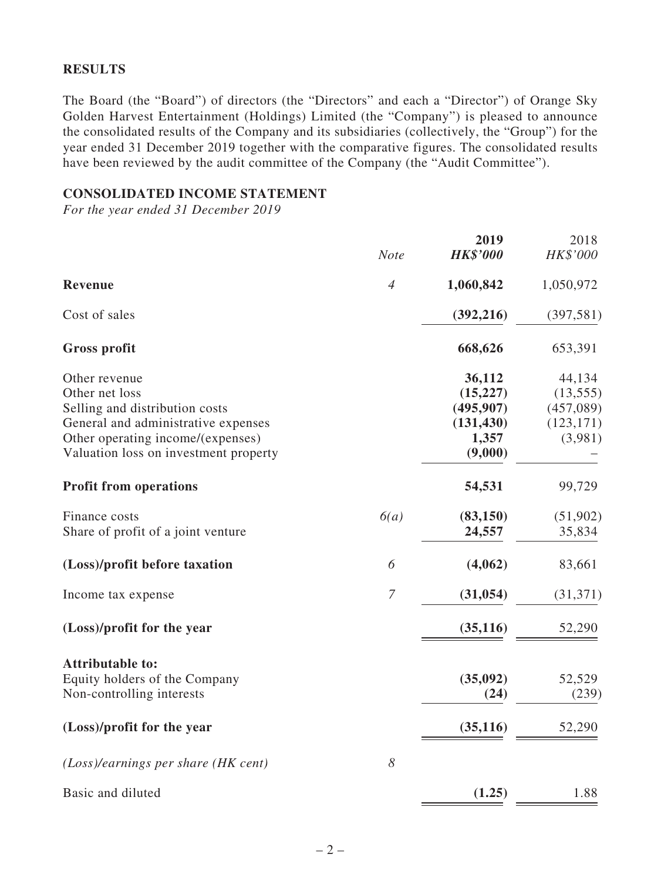## **RESULTS**

The Board (the "Board") of directors (the "Directors" and each a "Director") of Orange Sky Golden Harvest Entertainment (Holdings) Limited (the "Company") is pleased to announce the consolidated results of the Company and its subsidiaries (collectively, the "Group") for the year ended 31 December 2019 together with the comparative figures. The consolidated results have been reviewed by the audit committee of the Company (the "Audit Committee").

### **CONSOLIDATED INCOME STATEMENT**

*For the year ended 31 December 2019*

|                                                                            | <b>Note</b>    | 2019<br><b>HK\$'000</b> | 2018<br>HK\$'000 |
|----------------------------------------------------------------------------|----------------|-------------------------|------------------|
| Revenue                                                                    | $\overline{4}$ | 1,060,842               | 1,050,972        |
| Cost of sales                                                              |                | (392, 216)              | (397, 581)       |
|                                                                            |                |                         |                  |
| <b>Gross profit</b>                                                        |                | 668,626                 | 653,391          |
| Other revenue                                                              |                | 36,112                  | 44,134           |
| Other net loss                                                             |                | (15, 227)               | (13, 555)        |
| Selling and distribution costs                                             |                | (495, 907)              | (457,089)        |
| General and administrative expenses                                        |                | (131, 430)<br>1,357     | (123, 171)       |
| Other operating income/(expenses)<br>Valuation loss on investment property |                | (9,000)                 | (3,981)          |
|                                                                            |                |                         |                  |
| <b>Profit from operations</b>                                              |                | 54,531                  | 99,729           |
| Finance costs                                                              | 6(a)           | (83,150)                | (51,902)         |
| Share of profit of a joint venture                                         |                | 24,557                  | 35,834           |
| (Loss)/profit before taxation                                              | 6              | (4,062)                 | 83,661           |
| Income tax expense                                                         | $\overline{7}$ | (31, 054)               | (31,371)         |
| (Loss)/profit for the year                                                 |                | (35, 116)               | 52,290           |
| <b>Attributable to:</b>                                                    |                |                         |                  |
| Equity holders of the Company                                              |                | (35,092)                | 52,529           |
| Non-controlling interests                                                  |                | (24)                    | (239)            |
| (Loss)/profit for the year                                                 |                | (35, 116)               | 52,290           |
| $(Loss)/earnings$ per share (HK cent)                                      | 8              |                         |                  |
| Basic and diluted                                                          |                | (1.25)                  | 1.88             |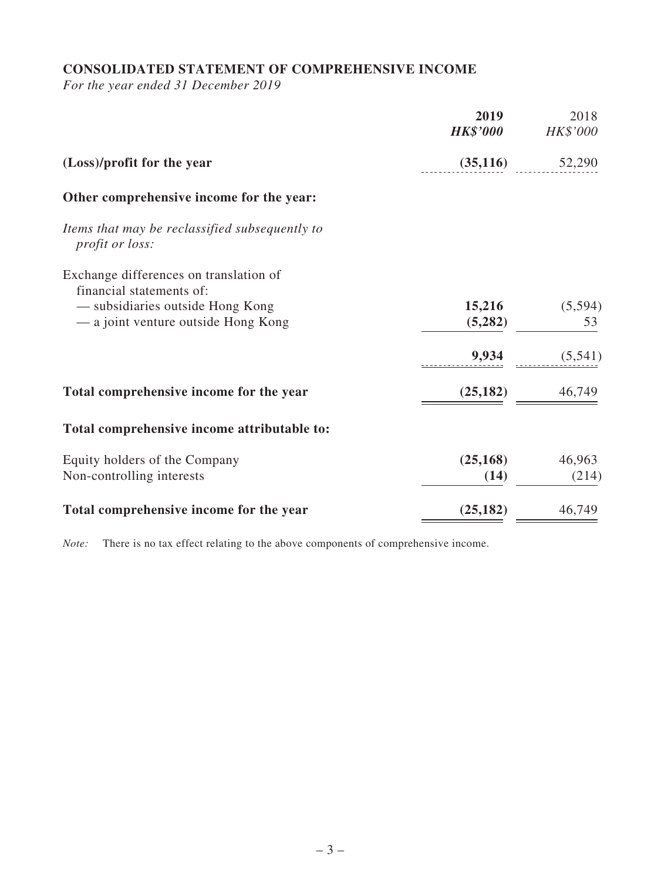# **CONSOLIDATED STATEMENT OF COMPREHENSIVE INCOME**

*For the year ended 31 December 2019*

|                                                                          | 2019<br><b>HK\$'000</b> | 2018<br>HK\$'000 |
|--------------------------------------------------------------------------|-------------------------|------------------|
| (Loss)/profit for the year                                               | (35,116)                | 52,290           |
| Other comprehensive income for the year:                                 |                         |                  |
| Items that may be reclassified subsequently to<br><i>profit or loss:</i> |                         |                  |
| Exchange differences on translation of<br>financial statements of:       |                         |                  |
| - subsidiaries outside Hong Kong<br>— a joint venture outside Hong Kong  | 15,216<br>(5,282)       | (5, 594)<br>53   |
|                                                                          | 9,934                   | (5,541)          |
| Total comprehensive income for the year                                  | (25, 182)               | 46,749           |
| Total comprehensive income attributable to:                              |                         |                  |
| Equity holders of the Company<br>Non-controlling interests               | (25, 168)<br>(14)       | 46,963<br>(214)  |
| Total comprehensive income for the year                                  | (25, 182)               | 46,749           |

*Note:* There is no tax effect relating to the above components of comprehensive income.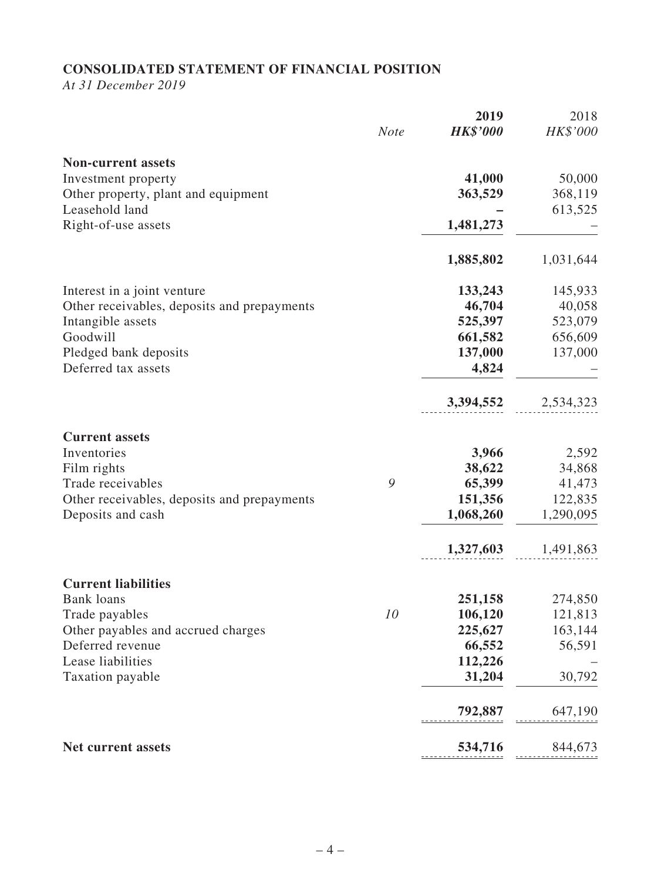# **CONSOLIDATED STATEMENT OF FINANCIAL POSITION**

*At 31 December 2019*

|                                             |             | 2019            | 2018      |
|---------------------------------------------|-------------|-----------------|-----------|
|                                             | <b>Note</b> | <b>HK\$'000</b> | HK\$'000  |
| <b>Non-current assets</b>                   |             |                 |           |
| Investment property                         |             | 41,000          | 50,000    |
| Other property, plant and equipment         |             | 363,529         | 368,119   |
| Leasehold land                              |             |                 | 613,525   |
| Right-of-use assets                         |             | 1,481,273       |           |
|                                             |             | 1,885,802       | 1,031,644 |
| Interest in a joint venture                 |             | 133,243         | 145,933   |
| Other receivables, deposits and prepayments |             | 46,704          | 40,058    |
| Intangible assets                           |             | 525,397         | 523,079   |
| Goodwill                                    |             | 661,582         | 656,609   |
| Pledged bank deposits                       |             | 137,000         | 137,000   |
| Deferred tax assets                         |             | 4,824           |           |
|                                             |             | 3,394,552       | 2,534,323 |
| <b>Current assets</b>                       |             |                 |           |
| Inventories                                 |             | 3,966           | 2,592     |
| Film rights                                 |             | 38,622          | 34,868    |
| Trade receivables                           | 9           | 65,399          | 41,473    |
| Other receivables, deposits and prepayments |             | 151,356         | 122,835   |
| Deposits and cash                           |             | 1,068,260       | 1,290,095 |
|                                             |             | 1,327,603       | 1,491,863 |
| <b>Current liabilities</b>                  |             |                 |           |
| <b>Bank loans</b>                           |             | 251,158         | 274,850   |
| Trade payables                              | 10          | 106,120         | 121,813   |
| Other payables and accrued charges          |             | 225,627         | 163,144   |
| Deferred revenue                            |             | 66,552          | 56,591    |
| Lease liabilities                           |             | 112,226         |           |
| Taxation payable                            |             | 31,204          | 30,792    |
|                                             |             | 792,887         | 647,190   |
| Net current assets                          |             | 534,716         | 844,673   |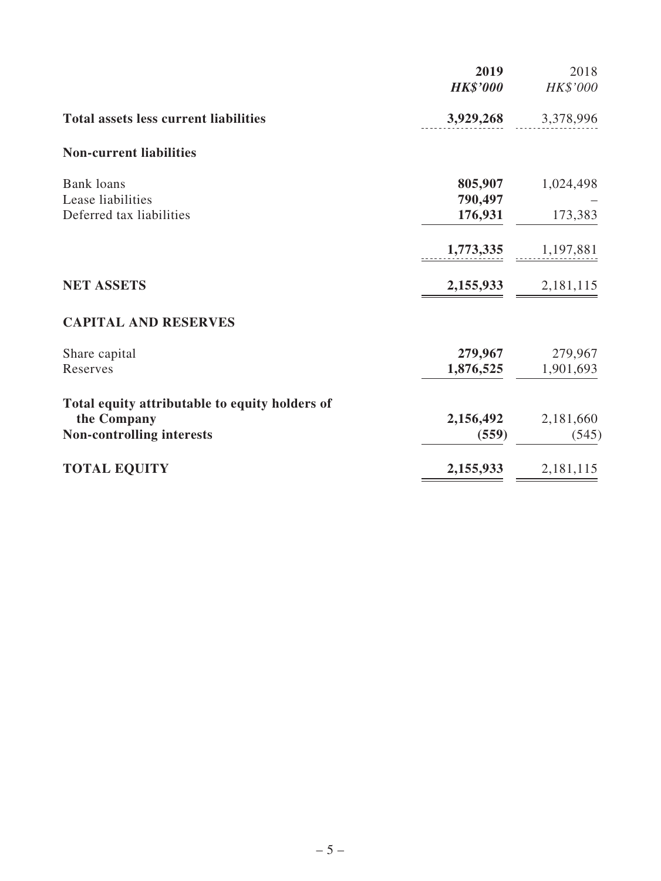|                                                 | 2019<br><b>HK\$'000</b> | 2018<br>HK\$'000     |
|-------------------------------------------------|-------------------------|----------------------|
| <b>Total assets less current liabilities</b>    | 3,929,268               | 3,378,996            |
| <b>Non-current liabilities</b>                  |                         |                      |
| <b>Bank loans</b><br>Lease liabilities          | 805,907<br>790,497      | 1,024,498            |
| Deferred tax liabilities                        | 176,931                 | 173,383              |
|                                                 | 1,773,335               | 1,197,881            |
| <b>NET ASSETS</b>                               | 2,155,933               | 2,181,115            |
| <b>CAPITAL AND RESERVES</b>                     |                         |                      |
| Share capital<br>Reserves                       | 279,967<br>1,876,525    | 279,967<br>1,901,693 |
| Total equity attributable to equity holders of  |                         |                      |
| the Company<br><b>Non-controlling interests</b> | 2,156,492<br>(559)      | 2,181,660<br>(545)   |
| <b>TOTAL EQUITY</b>                             | 2,155,933               | 2,181,115            |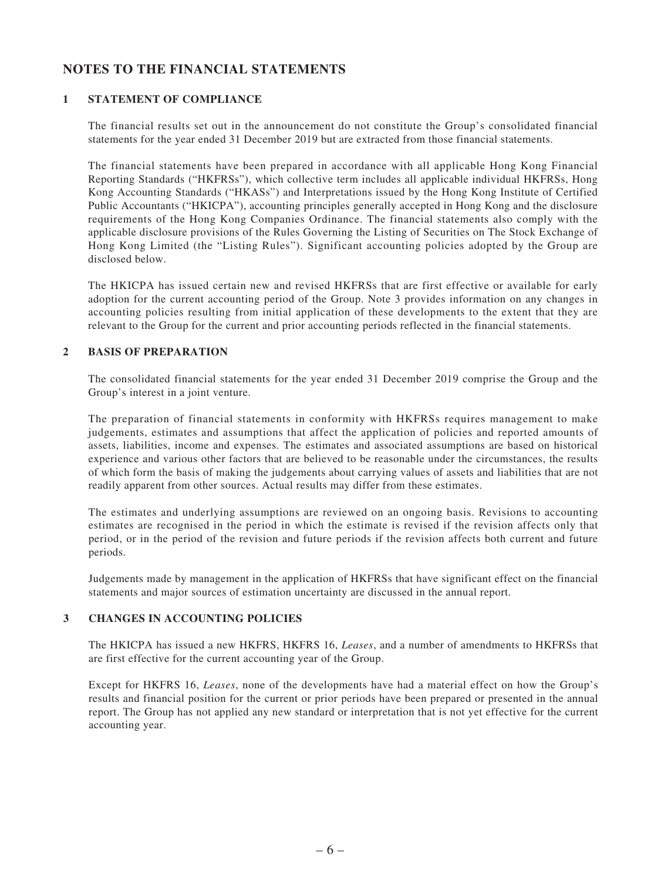## **NOTES TO THE FINANCIAL STATEMENTS**

### **1 STATEMENT OF COMPLIANCE**

The financial results set out in the announcement do not constitute the Group's consolidated financial statements for the year ended 31 December 2019 but are extracted from those financial statements.

The financial statements have been prepared in accordance with all applicable Hong Kong Financial Reporting Standards ("HKFRSs"), which collective term includes all applicable individual HKFRSs, Hong Kong Accounting Standards ("HKASs") and Interpretations issued by the Hong Kong Institute of Certified Public Accountants ("HKICPA"), accounting principles generally accepted in Hong Kong and the disclosure requirements of the Hong Kong Companies Ordinance. The financial statements also comply with the applicable disclosure provisions of the Rules Governing the Listing of Securities on The Stock Exchange of Hong Kong Limited (the "Listing Rules"). Significant accounting policies adopted by the Group are disclosed below.

The HKICPA has issued certain new and revised HKFRSs that are first effective or available for early adoption for the current accounting period of the Group. Note 3 provides information on any changes in accounting policies resulting from initial application of these developments to the extent that they are relevant to the Group for the current and prior accounting periods reflected in the financial statements.

#### **2 BASIS OF PREPARATION**

The consolidated financial statements for the year ended 31 December 2019 comprise the Group and the Group's interest in a joint venture.

The preparation of financial statements in conformity with HKFRSs requires management to make judgements, estimates and assumptions that affect the application of policies and reported amounts of assets, liabilities, income and expenses. The estimates and associated assumptions are based on historical experience and various other factors that are believed to be reasonable under the circumstances, the results of which form the basis of making the judgements about carrying values of assets and liabilities that are not readily apparent from other sources. Actual results may differ from these estimates.

The estimates and underlying assumptions are reviewed on an ongoing basis. Revisions to accounting estimates are recognised in the period in which the estimate is revised if the revision affects only that period, or in the period of the revision and future periods if the revision affects both current and future periods.

Judgements made by management in the application of HKFRSs that have significant effect on the financial statements and major sources of estimation uncertainty are discussed in the annual report.

### **3 CHANGES IN ACCOUNTING POLICIES**

The HKICPA has issued a new HKFRS, HKFRS 16, *Leases*, and a number of amendments to HKFRSs that are first effective for the current accounting year of the Group.

Except for HKFRS 16, *Leases*, none of the developments have had a material effect on how the Group's results and financial position for the current or prior periods have been prepared or presented in the annual report. The Group has not applied any new standard or interpretation that is not yet effective for the current accounting year.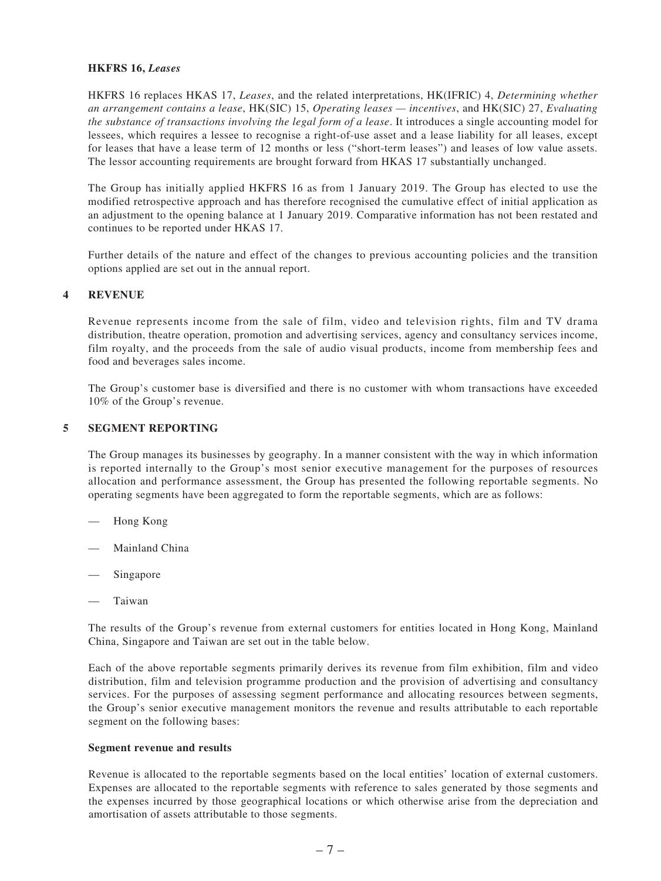#### **HKFRS 16,** *Leases*

HKFRS 16 replaces HKAS 17, *Leases*, and the related interpretations, HK(IFRIC) 4, *Determining whether an arrangement contains a lease*, HK(SIC) 15, *Operating leases — incentives*, and HK(SIC) 27, *Evaluating the substance of transactions involving the legal form of a lease*. It introduces a single accounting model for lessees, which requires a lessee to recognise a right-of-use asset and a lease liability for all leases, except for leases that have a lease term of 12 months or less ("short-term leases") and leases of low value assets. The lessor accounting requirements are brought forward from HKAS 17 substantially unchanged.

The Group has initially applied HKFRS 16 as from 1 January 2019. The Group has elected to use the modified retrospective approach and has therefore recognised the cumulative effect of initial application as an adjustment to the opening balance at 1 January 2019. Comparative information has not been restated and continues to be reported under HKAS 17.

Further details of the nature and effect of the changes to previous accounting policies and the transition options applied are set out in the annual report.

#### **4 REVENUE**

Revenue represents income from the sale of film, video and television rights, film and TV drama distribution, theatre operation, promotion and advertising services, agency and consultancy services income, film royalty, and the proceeds from the sale of audio visual products, income from membership fees and food and beverages sales income.

The Group's customer base is diversified and there is no customer with whom transactions have exceeded 10% of the Group's revenue.

#### **5 SEGMENT REPORTING**

The Group manages its businesses by geography. In a manner consistent with the way in which information is reported internally to the Group's most senior executive management for the purposes of resources allocation and performance assessment, the Group has presented the following reportable segments. No operating segments have been aggregated to form the reportable segments, which are as follows:

- Hong Kong
- Mainland China
- Singapore
- **Taiwan**

The results of the Group's revenue from external customers for entities located in Hong Kong, Mainland China, Singapore and Taiwan are set out in the table below.

Each of the above reportable segments primarily derives its revenue from film exhibition, film and video distribution, film and television programme production and the provision of advertising and consultancy services. For the purposes of assessing segment performance and allocating resources between segments, the Group's senior executive management monitors the revenue and results attributable to each reportable segment on the following bases:

#### **Segment revenue and results**

Revenue is allocated to the reportable segments based on the local entities' location of external customers. Expenses are allocated to the reportable segments with reference to sales generated by those segments and the expenses incurred by those geographical locations or which otherwise arise from the depreciation and amortisation of assets attributable to those segments.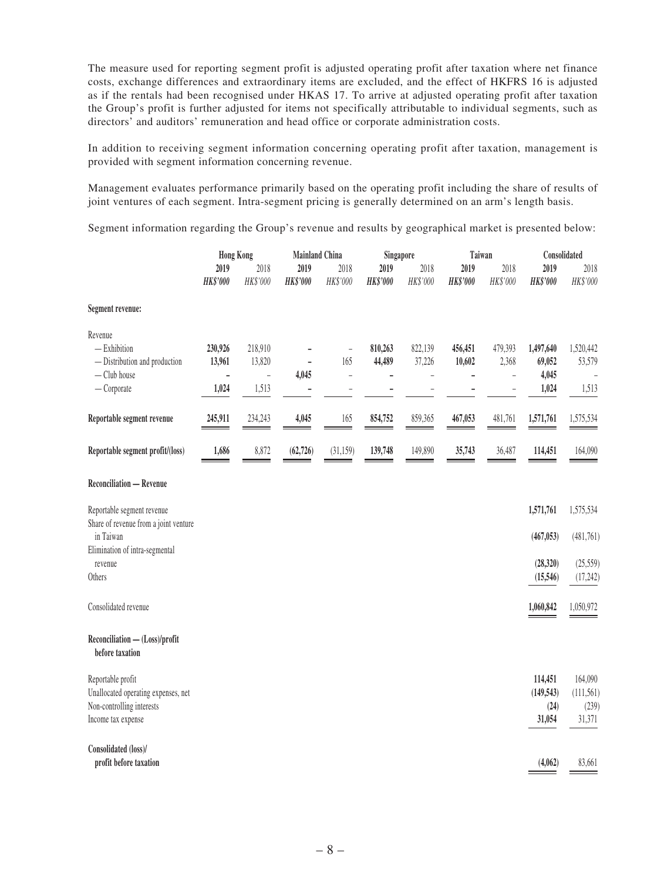The measure used for reporting segment profit is adjusted operating profit after taxation where net finance costs, exchange differences and extraordinary items are excluded, and the effect of HKFRS 16 is adjusted as if the rentals had been recognised under HKAS 17. To arrive at adjusted operating profit after taxation the Group's profit is further adjusted for items not specifically attributable to individual segments, such as directors' and auditors' remuneration and head office or corporate administration costs.

In addition to receiving segment information concerning operating profit after taxation, management is provided with segment information concerning revenue.

Management evaluates performance primarily based on the operating profit including the share of results of joint ventures of each segment. Intra-segment pricing is generally determined on an arm's length basis.

Segment information regarding the Group's revenue and results by geographical market is presented below:

|                                                   | <b>Hong Kong</b>        |                        |                         |                      | <b>Mainland China</b><br>Singapore |                  | Taiwan                  |                  | Consolidated            |                  |
|---------------------------------------------------|-------------------------|------------------------|-------------------------|----------------------|------------------------------------|------------------|-------------------------|------------------|-------------------------|------------------|
|                                                   | 2019<br><b>HK\$'000</b> | 2018<br>HK\$'000       | 2019<br><b>HK\$'000</b> | 2018<br>HK\$'000     | 2019<br><b>HK\$'000</b>            | 2018<br>HK\$'000 | 2019<br><b>HK\$'000</b> | 2018<br>HK\$'000 | 2019<br><b>HK\$'000</b> | 2018<br>HK\$'000 |
| Segment revenue:                                  |                         |                        |                         |                      |                                    |                  |                         |                  |                         |                  |
| Revenue                                           |                         |                        |                         |                      |                                    |                  |                         |                  |                         |                  |
| $-$ Exhibition                                    | 230,926                 | 218,910                |                         | $\overline{a}$       | 810,263                            | 822,139          | 456,451                 | 479,393          | 1,497,640               | 1,520,442        |
| - Distribution and production                     | 13,961                  | 13,820                 |                         | 165                  | 44,489                             | 37,226           | 10,602                  | 2,368            | 69,052                  | 53,579           |
| - Club house<br>$-$ Corporate                     | $\overline{a}$<br>1,024 | $\frac{1}{2}$<br>1,513 | 4,045                   | $\overline{a}$<br>L. |                                    |                  |                         | ÷<br>۰           | 4,045<br>1,024          | 1,513            |
|                                                   |                         |                        |                         |                      |                                    |                  |                         |                  |                         |                  |
| Reportable segment revenue                        | 245,911                 | 234,243                | 4,045                   | 165                  | 854,752                            | 859,365          | 467,053                 | 481,761          | 1,571,761               | 1,575,534        |
| Reportable segment profit/(loss)                  | 1,686                   | 8,872                  | (62, 726)               | (31, 159)            | 139,748                            | 149,890          | 35,743                  | 36,487           | 114,451                 | 164,090          |
| <b>Reconciliation - Revenue</b>                   |                         |                        |                         |                      |                                    |                  |                         |                  |                         |                  |
| Reportable segment revenue                        |                         |                        |                         |                      |                                    |                  |                         |                  | 1,571,761               | 1,575,534        |
| Share of revenue from a joint venture             |                         |                        |                         |                      |                                    |                  |                         |                  |                         |                  |
| in Taiwan                                         |                         |                        |                         |                      |                                    |                  |                         |                  | (467, 053)              | (481,761)        |
| Elimination of intra-segmental                    |                         |                        |                         |                      |                                    |                  |                         |                  |                         |                  |
| revenue                                           |                         |                        |                         |                      |                                    |                  |                         |                  | (28, 320)               | (25, 559)        |
| Others                                            |                         |                        |                         |                      |                                    |                  |                         |                  | (15, 546)               | (17, 242)        |
| Consolidated revenue                              |                         |                        |                         |                      |                                    |                  |                         |                  | 1,060,842               | 1,050,972        |
| Reconciliation - (Loss)/profit<br>before taxation |                         |                        |                         |                      |                                    |                  |                         |                  |                         |                  |
| Reportable profit                                 |                         |                        |                         |                      |                                    |                  |                         |                  | 114,451                 | 164,090          |
| Unallocated operating expenses, net               |                         |                        |                         |                      |                                    |                  |                         |                  | (149, 543)              | (111, 561)       |
| Non-controlling interests                         |                         |                        |                         |                      |                                    |                  |                         |                  | (24)                    | (239)            |
| Income tax expense                                |                         |                        |                         |                      |                                    |                  |                         |                  | 31,054                  | 31,371           |
| Consolidated (loss)/                              |                         |                        |                         |                      |                                    |                  |                         |                  |                         |                  |
| profit before taxation                            |                         |                        |                         |                      |                                    |                  |                         |                  | (4,062)                 | 83,661           |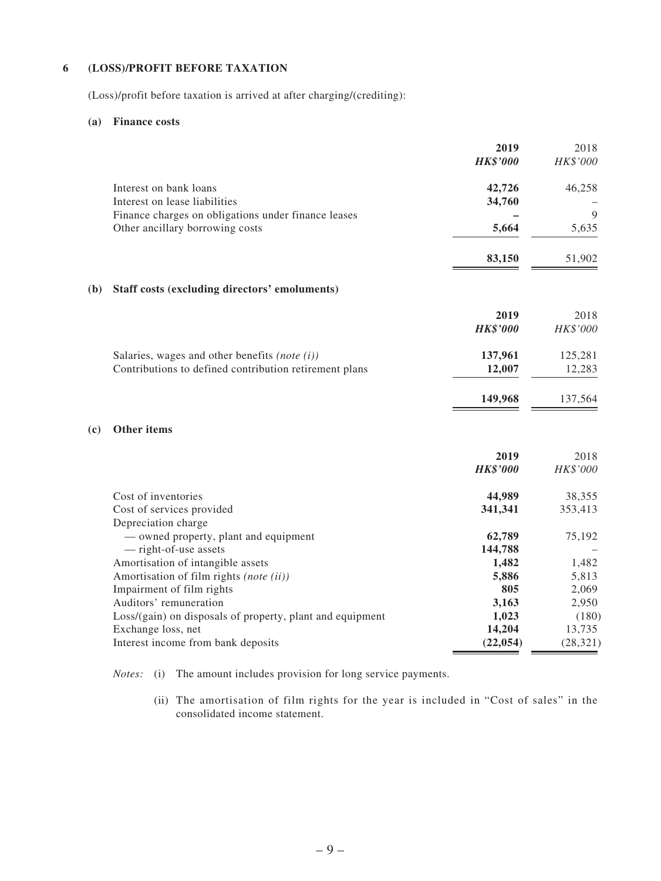### **6 (LOSS)/PROFIT BEFORE TAXATION**

(Loss)/profit before taxation is arrived at after charging/(crediting):

#### **(a) Finance costs**

| Interest on bank loans<br>Interest on lease liabilities   | <b>HK\$'000</b><br>42,726<br>34,760 | HK\$'000<br>46,258 |
|-----------------------------------------------------------|-------------------------------------|--------------------|
|                                                           |                                     |                    |
|                                                           |                                     |                    |
|                                                           |                                     |                    |
| Finance charges on obligations under finance leases       |                                     | 9                  |
| Other ancillary borrowing costs                           | 5,664                               | 5,635              |
|                                                           | 83,150                              | 51,902             |
| Staff costs (excluding directors' emoluments)<br>(b)      |                                     |                    |
|                                                           | 2019                                | 2018               |
|                                                           | <b>HK\$'000</b>                     | HK\$'000           |
| Salaries, wages and other benefits (note $(i)$ )          | 137,961                             | 125,281            |
| Contributions to defined contribution retirement plans    | 12,007                              | 12,283             |
|                                                           | 149,968                             | 137,564            |
| Other items<br>(c)                                        |                                     |                    |
|                                                           | 2019                                | 2018               |
|                                                           | <b>HK\$'000</b>                     | HK\$'000           |
| Cost of inventories                                       | 44,989                              | 38,355             |
| Cost of services provided<br>Depreciation charge          | 341,341                             | 353,413            |
| - owned property, plant and equipment                     | 62,789                              | 75,192             |
| - right-of-use assets                                     | 144,788                             |                    |
| Amortisation of intangible assets                         | 1,482                               | 1,482              |
| Amortisation of film rights (note (ii))                   | 5,886                               | 5,813              |
| Impairment of film rights                                 | 805                                 | 2,069              |
| Auditors' remuneration                                    | 3,163                               | 2,950              |
| Loss/(gain) on disposals of property, plant and equipment | 1,023                               | (180)              |
| Exchange loss, net                                        | 14,204                              | 13,735             |
| Interest income from bank deposits                        | (22, 054)                           | (28, 321)          |

*Notes:* (i) The amount includes provision for long service payments.

 (ii) The amortisation of film rights for the year is included in "Cost of sales" in the consolidated income statement.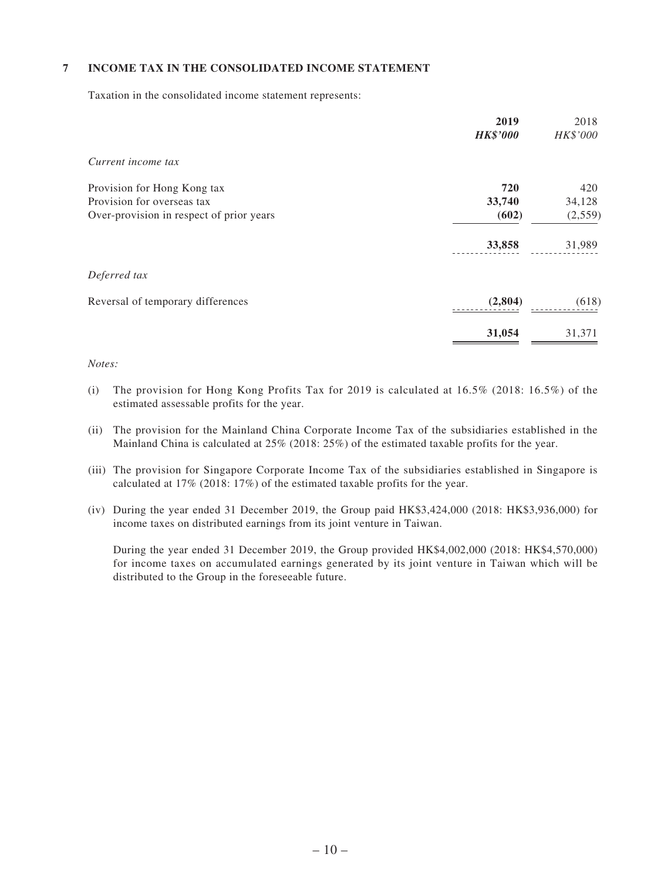### **7 INCOME TAX IN THE CONSOLIDATED INCOME STATEMENT**

Taxation in the consolidated income statement represents:

|                                          | 2019<br><b>HK\$'000</b> | 2018<br>HK\$'000 |
|------------------------------------------|-------------------------|------------------|
| Current income tax                       |                         |                  |
| Provision for Hong Kong tax              | 720                     | 420              |
| Provision for overseas tax               | 33,740                  | 34,128           |
| Over-provision in respect of prior years | (602)                   | (2,559)          |
|                                          | 33,858                  | 31,989           |
| Deferred tax                             |                         |                  |
| Reversal of temporary differences        | (2,804)                 | (618)            |
|                                          | 31,054                  | 31,371           |

#### *Notes:*

- (i) The provision for Hong Kong Profits Tax for 2019 is calculated at  $16.5\%$  (2018:  $16.5\%$ ) of the estimated assessable profits for the year.
- (ii) The provision for the Mainland China Corporate Income Tax of the subsidiaries established in the Mainland China is calculated at 25% (2018: 25%) of the estimated taxable profits for the year.
- (iii) The provision for Singapore Corporate Income Tax of the subsidiaries established in Singapore is calculated at 17% (2018: 17%) of the estimated taxable profits for the year.
- (iv) During the year ended 31 December 2019, the Group paid HK\$3,424,000 (2018: HK\$3,936,000) for income taxes on distributed earnings from its joint venture in Taiwan.

 During the year ended 31 December 2019, the Group provided HK\$4,002,000 (2018: HK\$4,570,000) for income taxes on accumulated earnings generated by its joint venture in Taiwan which will be distributed to the Group in the foreseeable future.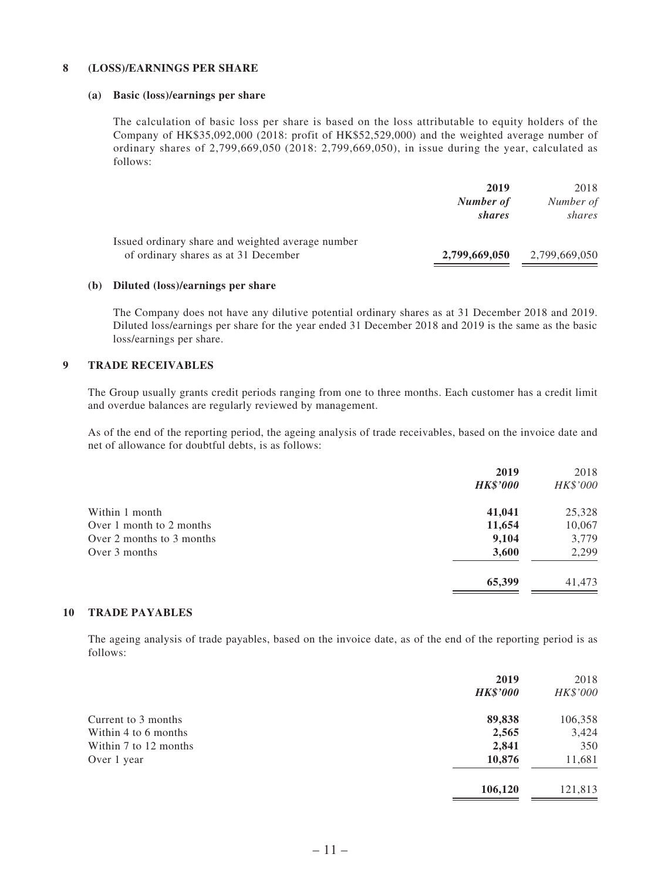#### **8 (LOSS)/EARNINGS PER SHARE**

#### **(a) Basic (loss)/earnings per share**

The calculation of basic loss per share is based on the loss attributable to equity holders of the Company of HK\$35,092,000 (2018: profit of HK\$52,529,000) and the weighted average number of ordinary shares of 2,799,669,050 (2018: 2,799,669,050), in issue during the year, calculated as follows:

|                                                                                           | 2019<br>Number of<br>shares | 2018<br>Number of<br>shares |
|-------------------------------------------------------------------------------------------|-----------------------------|-----------------------------|
| Issued ordinary share and weighted average number<br>of ordinary shares as at 31 December | 2,799,669,050               | 2,799,669,050               |

#### **(b) Diluted (loss)/earnings per share**

The Company does not have any dilutive potential ordinary shares as at 31 December 2018 and 2019. Diluted loss/earnings per share for the year ended 31 December 2018 and 2019 is the same as the basic loss/earnings per share.

### **9 TRADE RECEIVABLES**

The Group usually grants credit periods ranging from one to three months. Each customer has a credit limit and overdue balances are regularly reviewed by management.

As of the end of the reporting period, the ageing analysis of trade receivables, based on the invoice date and net of allowance for doubtful debts, is as follows:

| <b>HK\$'000</b> | 2018<br>HK\$'000 |
|-----------------|------------------|
| 41,041          | 25,328           |
| 11,654          | 10,067           |
| 9,104           | 3,779            |
| 3,600           | 2,299            |
| 65,399          | 41,473           |
|                 | 2019             |

### **10 TRADE PAYABLES**

The ageing analysis of trade payables, based on the invoice date, as of the end of the reporting period is as follows:

|                       | 2019            | 2018     |
|-----------------------|-----------------|----------|
|                       | <b>HK\$'000</b> | HK\$'000 |
| Current to 3 months   | 89,838          | 106,358  |
| Within 4 to 6 months  | 2,565           | 3,424    |
| Within 7 to 12 months | 2,841           | 350      |
| Over 1 year           | 10,876          | 11,681   |
|                       | 106,120         | 121,813  |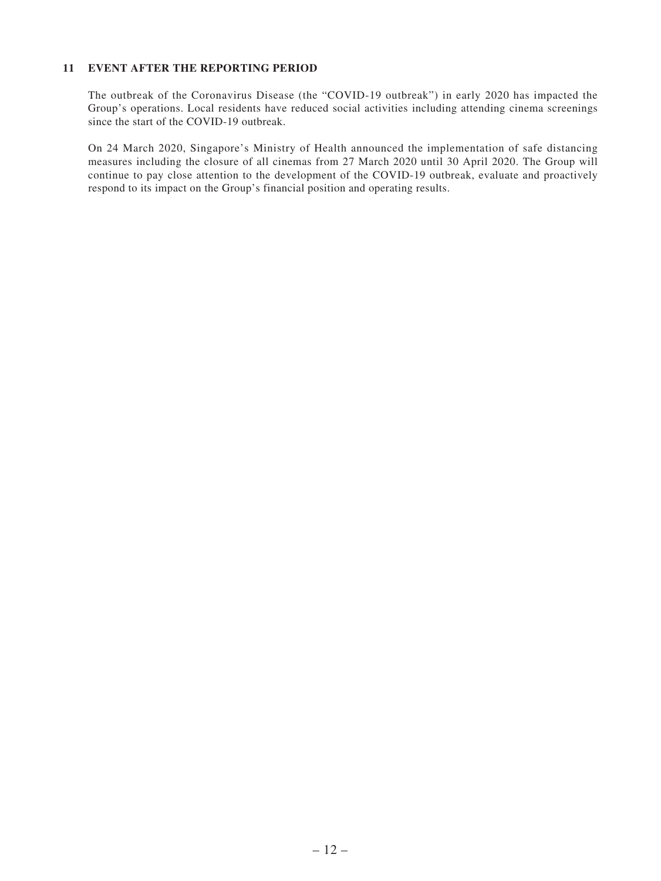#### **11 EVENT AFTER THE REPORTING PERIOD**

The outbreak of the Coronavirus Disease (the "COVID-19 outbreak") in early 2020 has impacted the Group's operations. Local residents have reduced social activities including attending cinema screenings since the start of the COVID-19 outbreak.

On 24 March 2020, Singapore's Ministry of Health announced the implementation of safe distancing measures including the closure of all cinemas from 27 March 2020 until 30 April 2020. The Group will continue to pay close attention to the development of the COVID-19 outbreak, evaluate and proactively respond to its impact on the Group's financial position and operating results.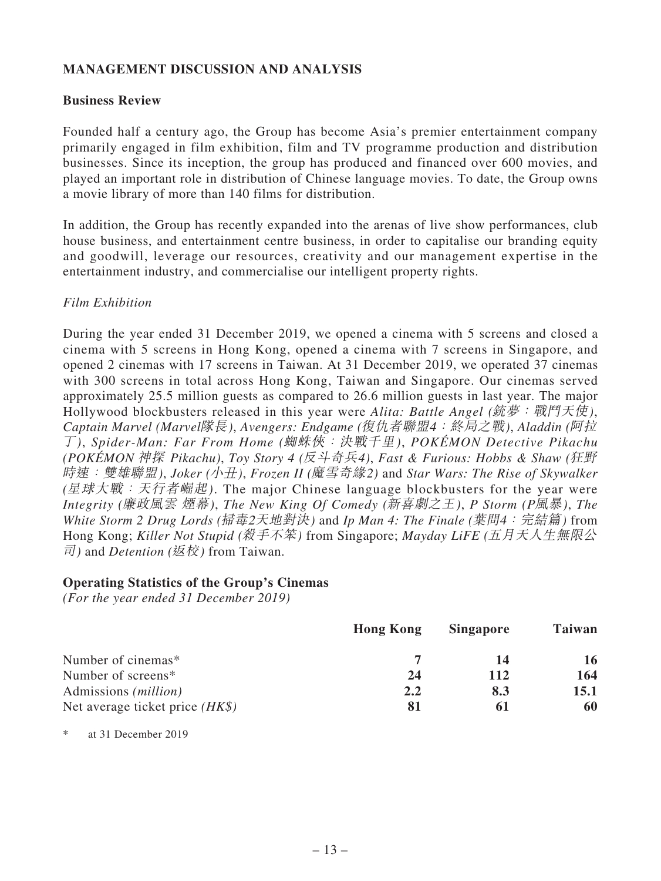## **MANAGEMENT DISCUSSION AND ANALYSIS**

### **Business Review**

Founded half a century ago, the Group has become Asia's premier entertainment company primarily engaged in film exhibition, film and TV programme production and distribution businesses. Since its inception, the group has produced and financed over 600 movies, and played an important role in distribution of Chinese language movies. To date, the Group owns a movie library of more than 140 films for distribution.

In addition, the Group has recently expanded into the arenas of live show performances, club house business, and entertainment centre business, in order to capitalise our branding equity and goodwill, leverage our resources, creativity and our management expertise in the entertainment industry, and commercialise our intelligent property rights.

## *Film Exhibition*

During the year ended 31 December 2019, we opened a cinema with 5 screens and closed a cinema with 5 screens in Hong Kong, opened a cinema with 7 screens in Singapore, and opened 2 cinemas with 17 screens in Taiwan. At 31 December 2019, we operated 37 cinemas with 300 screens in total across Hong Kong, Taiwan and Singapore. Our cinemas served approximately 25.5 million guests as compared to 26.6 million guests in last year. The major Hollywood blockbusters released in this year were *Alita: Battle Angel (*銃夢:戰鬥天使*)*, *Captain Marvel (Marvel*隊長*)*, *Avengers: Endgame (*復仇者聯盟4:終局之戰*)*, *Aladdin (*阿拉 丁*)*, *Spider-Man: Far From Home (*蜘蛛俠:決戰千里*)*, *POKÉMON Detective Pikachu (POKÉMON* 神探 *Pikachu)*, *Toy Story 4 (*反斗奇兵*4)*, *Fast & Furious: Hobbs & Shaw (*狂野 時速:雙雄聯盟*)*, *Joker (*小丑*)*, *Frozen II (*魔雪奇緣*2)* and *Star Wars: The Rise of Skywalker (*星球大戰:天行者崛起*)*. The major Chinese language blockbusters for the year were *Integrity (*廉政風雲 煙幕*)*, *The New King Of Comedy (*新喜劇之王*)*, *P Storm (P*風暴*)*, *The White Storm 2 Drug Lords (*掃毒2天地對決*)* and *Ip Man 4: The Finale (*葉問4:完結篇*)* from Hong Kong; *Killer Not Stupid (*殺手不笨*)* from Singapore; *Mayday LiFE (*五月天人生無限公 司*)* and *Detention (*返校*)* from Taiwan.

### **Operating Statistics of the Group's Cinemas**

*(For the year ended 31 December 2019)*

|                                   | <b>Hong Kong</b> | <b>Singapore</b> | Taiwan |
|-----------------------------------|------------------|------------------|--------|
| Number of cinemas*                |                  | 14               | 16     |
| Number of screens*                | 24               | 112              | 164    |
| Admissions ( <i>million</i> )     | 2.2              | 8.3              | 15.1   |
| Net average ticket price $(HK\$ ) | 81               | 61               | 60     |

\* at 31 December 2019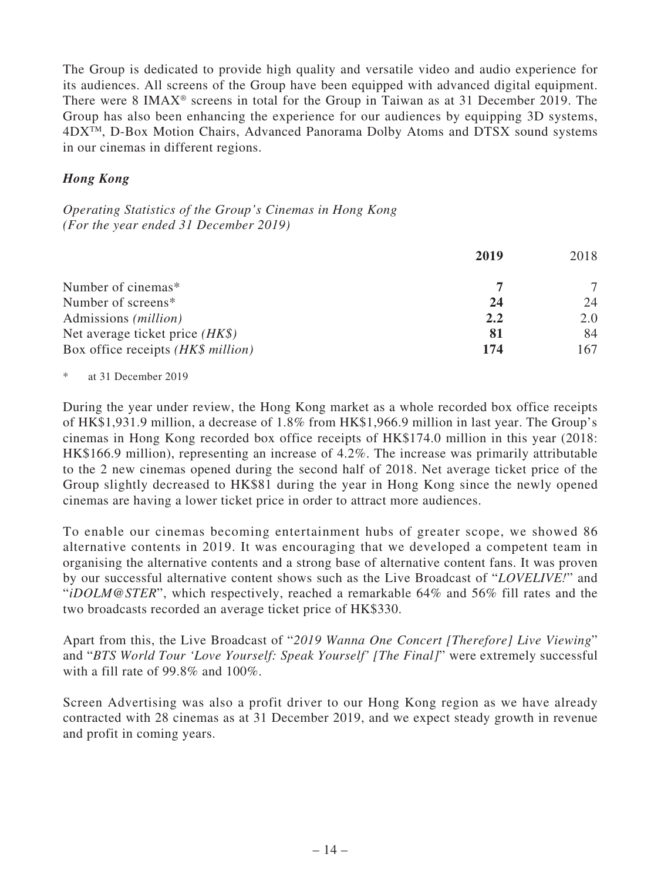The Group is dedicated to provide high quality and versatile video and audio experience for its audiences. All screens of the Group have been equipped with advanced digital equipment. There were 8 IMAX® screens in total for the Group in Taiwan as at 31 December 2019. The Group has also been enhancing the experience for our audiences by equipping 3D systems, 4DXTM, D-Box Motion Chairs, Advanced Panorama Dolby Atoms and DTSX sound systems in our cinemas in different regions.

## *Hong Kong*

*Operating Statistics of the Group's Cinemas in Hong Kong (For the year ended 31 December 2019)*

|                                    | 2019 | 2018 |
|------------------------------------|------|------|
| Number of cinemas*                 |      |      |
| Number of screens*                 | 24   | 24   |
| Admissions ( <i>million</i> )      | 2.2  | 2.0  |
| Net average ticket price $(HK\$ )  | 81   | 84   |
| Box office receipts (HK\$ million) | 174  | 167  |

\* at 31 December 2019

During the year under review, the Hong Kong market as a whole recorded box office receipts of HK\$1,931.9 million, a decrease of 1.8% from HK\$1,966.9 million in last year. The Group's cinemas in Hong Kong recorded box office receipts of HK\$174.0 million in this year (2018: HK\$166.9 million), representing an increase of 4.2%. The increase was primarily attributable to the 2 new cinemas opened during the second half of 2018. Net average ticket price of the Group slightly decreased to HK\$81 during the year in Hong Kong since the newly opened cinemas are having a lower ticket price in order to attract more audiences.

To enable our cinemas becoming entertainment hubs of greater scope, we showed 86 alternative contents in 2019. It was encouraging that we developed a competent team in organising the alternative contents and a strong base of alternative content fans. It was proven by our successful alternative content shows such as the Live Broadcast of "*LOVELIVE!*" and "*iDOLM@STER*", which respectively, reached a remarkable 64% and 56% fill rates and the two broadcasts recorded an average ticket price of HK\$330.

Apart from this, the Live Broadcast of "*2019 Wanna One Concert [Therefore] Live Viewing*" and "*BTS World Tour 'Love Yourself: Speak Yourself' [The Final]*" were extremely successful with a fill rate of 99.8% and 100%.

Screen Advertising was also a profit driver to our Hong Kong region as we have already contracted with 28 cinemas as at 31 December 2019, and we expect steady growth in revenue and profit in coming years.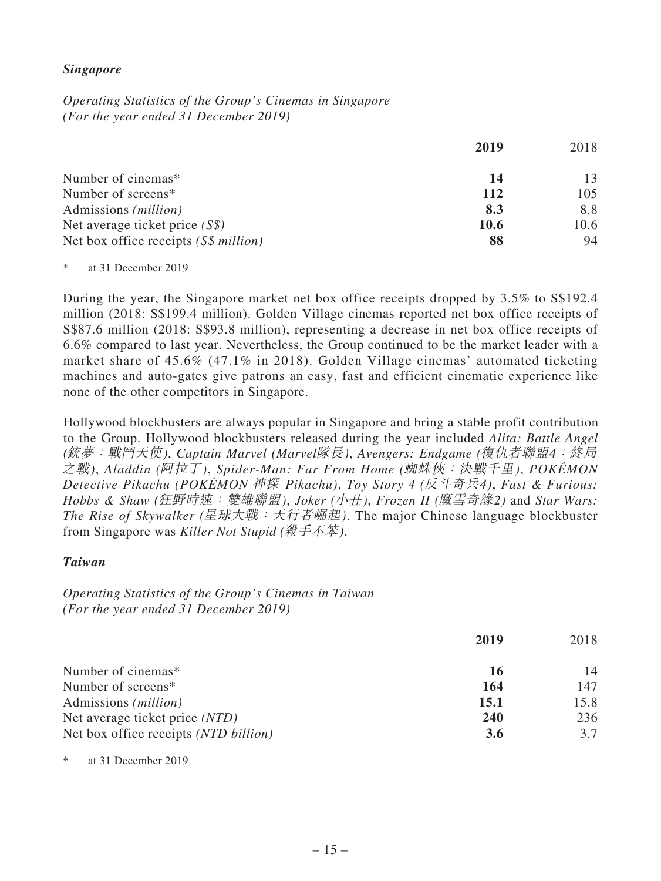### *Singapore*

*Operating Statistics of the Group's Cinemas in Singapore (For the year ended 31 December 2019)*

|                                        | 2019 | 2018 |
|----------------------------------------|------|------|
| Number of cinemas*                     | 14   | 13   |
| Number of screens*                     | 112  | 105  |
| Admissions ( <i>million</i> )          | 8.3  | 8.8  |
| Net average ticket price $(S\$ )       | 10.6 | 10.6 |
| Net box office receipts $(S\$ million) | 88   | 94   |

\* at 31 December 2019

During the year, the Singapore market net box office receipts dropped by 3.5% to S\$192.4 million (2018: S\$199.4 million). Golden Village cinemas reported net box office receipts of S\$87.6 million (2018: S\$93.8 million), representing a decrease in net box office receipts of 6.6% compared to last year. Nevertheless, the Group continued to be the market leader with a market share of 45.6% (47.1% in 2018). Golden Village cinemas' automated ticketing machines and auto-gates give patrons an easy, fast and efficient cinematic experience like none of the other competitors in Singapore.

Hollywood blockbusters are always popular in Singapore and bring a stable profit contribution to the Group. Hollywood blockbusters released during the year included *Alita: Battle Angel (*銃夢:戰鬥天使*)*, *Captain Marvel (Marvel*隊長*)*, *Avengers: Endgame (*復仇者聯盟4:終局 之戰*)*, *Aladdin (*阿拉丁*)*, *Spider-Man: Far From Home (*蜘蛛俠:決戰千里*)*, *POKÉMON Detective Pikachu (POKÉMON* 神探 *Pikachu)*, *Toy Story 4 (*反斗奇兵*4)*, *Fast & Furious: Hobbs & Shaw (*狂野時速:雙雄聯盟*)*, *Joker (*小丑*)*, *Frozen II (*魔雪奇緣*2)* and *Star Wars: The Rise of Skywalker (*星球大戰:天行者崛起*)*. The major Chinese language blockbuster from Singapore was *Killer Not Stupid (*殺手不笨*)*.

### *Taiwan*

*Operating Statistics of the Group's Cinemas in Taiwan (For the year ended 31 December 2019)*

|                                       | 2019       | 2018 |
|---------------------------------------|------------|------|
| Number of cinemas*                    | 16         | 14   |
| Number of screens*                    | 164        | 147  |
| Admissions ( <i>million</i> )         | 15.1       | 15.8 |
| Net average ticket price (NTD)        | 240        | 236  |
| Net box office receipts (NTD billion) | <b>3.6</b> | 3.7  |

\* at 31 December 2019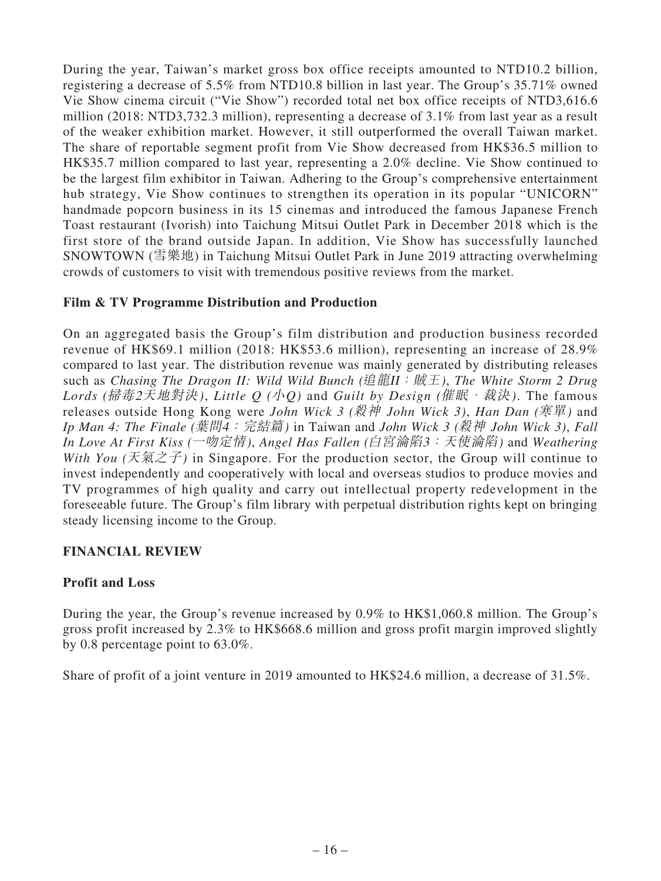During the year, Taiwan's market gross box office receipts amounted to NTD10.2 billion, registering a decrease of 5.5% from NTD10.8 billion in last year. The Group's 35.71% owned Vie Show cinema circuit ("Vie Show") recorded total net box office receipts of NTD3,616.6 million (2018: NTD3,732.3 million), representing a decrease of 3.1% from last year as a result of the weaker exhibition market. However, it still outperformed the overall Taiwan market. The share of reportable segment profit from Vie Show decreased from HK\$36.5 million to HK\$35.7 million compared to last year, representing a 2.0% decline. Vie Show continued to be the largest film exhibitor in Taiwan. Adhering to the Group's comprehensive entertainment hub strategy, Vie Show continues to strengthen its operation in its popular "UNICORN" handmade popcorn business in its 15 cinemas and introduced the famous Japanese French Toast restaurant (Ivorish) into Taichung Mitsui Outlet Park in December 2018 which is the first store of the brand outside Japan. In addition, Vie Show has successfully launched SNOWTOWN (雪樂地) in Taichung Mitsui Outlet Park in June 2019 attracting overwhelming crowds of customers to visit with tremendous positive reviews from the market.

## **Film & TV Programme Distribution and Production**

On an aggregated basis the Group's film distribution and production business recorded revenue of HK\$69.1 million (2018: HK\$53.6 million), representing an increase of 28.9% compared to last year. The distribution revenue was mainly generated by distributing releases such as *Chasing The Dragon II: Wild Wild Bunch (*追龍II:賊王*)*, *The White Storm 2 Drug Lords (*掃毒2天地對決*)*, *Little Q (*小*Q)* and *Guilt by Design (*催眠.裁決*)*. The famous releases outside Hong Kong were *John Wick 3 (*殺神 *John Wick 3)*, *Han Dan (*寒單*)* and *Ip Man 4: The Finale (*葉問4:完結篇*)* in Taiwan and *John Wick 3 (*殺神 *John Wick 3)*, *Fall In Love At First Kiss (*一吻定情*)*, *Angel Has Fallen (*白宮淪陷3:天使淪陷*)* and *Weathering With You* ( $\bar{\mathcal{F}}$ ) in Singapore. For the production sector, the Group will continue to invest independently and cooperatively with local and overseas studios to produce movies and TV programmes of high quality and carry out intellectual property redevelopment in the foreseeable future. The Group's film library with perpetual distribution rights kept on bringing steady licensing income to the Group.

## **FINANCIAL REVIEW**

## **Profit and Loss**

During the year, the Group's revenue increased by 0.9% to HK\$1,060.8 million. The Group's gross profit increased by 2.3% to HK\$668.6 million and gross profit margin improved slightly by 0.8 percentage point to 63.0%.

Share of profit of a joint venture in 2019 amounted to HK\$24.6 million, a decrease of 31.5%.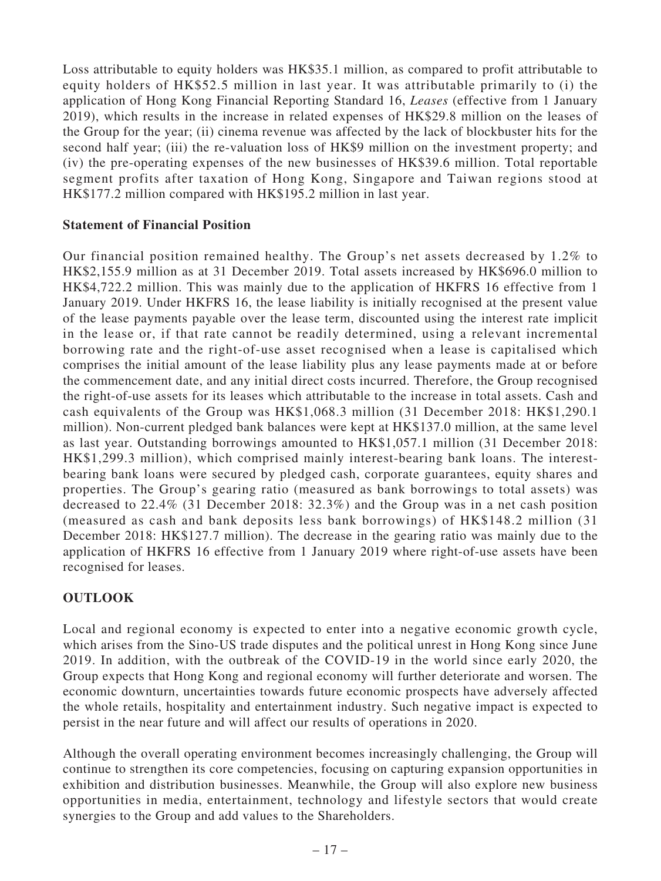Loss attributable to equity holders was HK\$35.1 million, as compared to profit attributable to equity holders of HK\$52.5 million in last year. It was attributable primarily to (i) the application of Hong Kong Financial Reporting Standard 16, *Leases* (effective from 1 January 2019), which results in the increase in related expenses of HK\$29.8 million on the leases of the Group for the year; (ii) cinema revenue was affected by the lack of blockbuster hits for the second half year; (iii) the re-valuation loss of HK\$9 million on the investment property; and (iv) the pre-operating expenses of the new businesses of HK\$39.6 million. Total reportable segment profits after taxation of Hong Kong, Singapore and Taiwan regions stood at HK\$177.2 million compared with HK\$195.2 million in last year.

## **Statement of Financial Position**

Our financial position remained healthy. The Group's net assets decreased by 1.2% to HK\$2,155.9 million as at 31 December 2019. Total assets increased by HK\$696.0 million to HK\$4,722.2 million. This was mainly due to the application of HKFRS 16 effective from 1 January 2019. Under HKFRS 16, the lease liability is initially recognised at the present value of the lease payments payable over the lease term, discounted using the interest rate implicit in the lease or, if that rate cannot be readily determined, using a relevant incremental borrowing rate and the right-of-use asset recognised when a lease is capitalised which comprises the initial amount of the lease liability plus any lease payments made at or before the commencement date, and any initial direct costs incurred. Therefore, the Group recognised the right-of-use assets for its leases which attributable to the increase in total assets. Cash and cash equivalents of the Group was HK\$1,068.3 million (31 December 2018: HK\$1,290.1 million). Non-current pledged bank balances were kept at HK\$137.0 million, at the same level as last year. Outstanding borrowings amounted to HK\$1,057.1 million (31 December 2018: HK\$1,299.3 million), which comprised mainly interest-bearing bank loans. The interestbearing bank loans were secured by pledged cash, corporate guarantees, equity shares and properties. The Group's gearing ratio (measured as bank borrowings to total assets) was decreased to 22.4% (31 December 2018: 32.3%) and the Group was in a net cash position (measured as cash and bank deposits less bank borrowings) of HK\$148.2 million (31 December 2018: HK\$127.7 million). The decrease in the gearing ratio was mainly due to the application of HKFRS 16 effective from 1 January 2019 where right-of-use assets have been recognised for leases.

## **OUTLOOK**

Local and regional economy is expected to enter into a negative economic growth cycle, which arises from the Sino-US trade disputes and the political unrest in Hong Kong since June 2019. In addition, with the outbreak of the COVID-19 in the world since early 2020, the Group expects that Hong Kong and regional economy will further deteriorate and worsen. The economic downturn, uncertainties towards future economic prospects have adversely affected the whole retails, hospitality and entertainment industry. Such negative impact is expected to persist in the near future and will affect our results of operations in 2020.

Although the overall operating environment becomes increasingly challenging, the Group will continue to strengthen its core competencies, focusing on capturing expansion opportunities in exhibition and distribution businesses. Meanwhile, the Group will also explore new business opportunities in media, entertainment, technology and lifestyle sectors that would create synergies to the Group and add values to the Shareholders.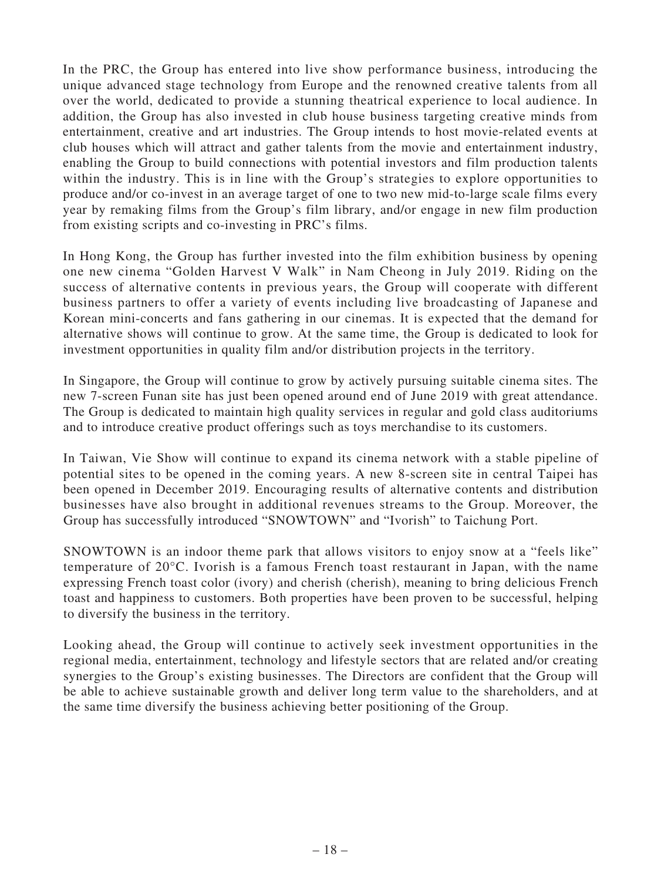In the PRC, the Group has entered into live show performance business, introducing the unique advanced stage technology from Europe and the renowned creative talents from all over the world, dedicated to provide a stunning theatrical experience to local audience. In addition, the Group has also invested in club house business targeting creative minds from entertainment, creative and art industries. The Group intends to host movie-related events at club houses which will attract and gather talents from the movie and entertainment industry, enabling the Group to build connections with potential investors and film production talents within the industry. This is in line with the Group's strategies to explore opportunities to produce and/or co-invest in an average target of one to two new mid-to-large scale films every year by remaking films from the Group's film library, and/or engage in new film production from existing scripts and co-investing in PRC's films.

In Hong Kong, the Group has further invested into the film exhibition business by opening one new cinema "Golden Harvest V Walk" in Nam Cheong in July 2019. Riding on the success of alternative contents in previous years, the Group will cooperate with different business partners to offer a variety of events including live broadcasting of Japanese and Korean mini-concerts and fans gathering in our cinemas. It is expected that the demand for alternative shows will continue to grow. At the same time, the Group is dedicated to look for investment opportunities in quality film and/or distribution projects in the territory.

In Singapore, the Group will continue to grow by actively pursuing suitable cinema sites. The new 7-screen Funan site has just been opened around end of June 2019 with great attendance. The Group is dedicated to maintain high quality services in regular and gold class auditoriums and to introduce creative product offerings such as toys merchandise to its customers.

In Taiwan, Vie Show will continue to expand its cinema network with a stable pipeline of potential sites to be opened in the coming years. A new 8-screen site in central Taipei has been opened in December 2019. Encouraging results of alternative contents and distribution businesses have also brought in additional revenues streams to the Group. Moreover, the Group has successfully introduced "SNOWTOWN" and "Ivorish" to Taichung Port.

SNOWTOWN is an indoor theme park that allows visitors to enjoy snow at a "feels like" temperature of 20°C. Ivorish is a famous French toast restaurant in Japan, with the name expressing French toast color (ivory) and cherish (cherish), meaning to bring delicious French toast and happiness to customers. Both properties have been proven to be successful, helping to diversify the business in the territory.

Looking ahead, the Group will continue to actively seek investment opportunities in the regional media, entertainment, technology and lifestyle sectors that are related and/or creating synergies to the Group's existing businesses. The Directors are confident that the Group will be able to achieve sustainable growth and deliver long term value to the shareholders, and at the same time diversify the business achieving better positioning of the Group.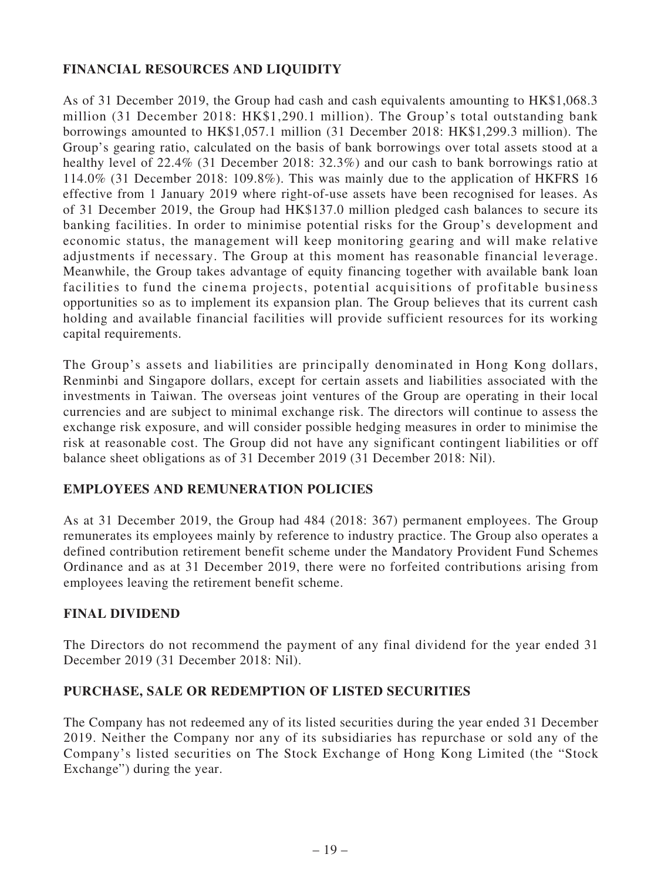## **FINANCIAL RESOURCES AND LIQUIDITY**

As of 31 December 2019, the Group had cash and cash equivalents amounting to HK\$1,068.3 million (31 December 2018: HK\$1,290.1 million). The Group's total outstanding bank borrowings amounted to HK\$1,057.1 million (31 December 2018: HK\$1,299.3 million). The Group's gearing ratio, calculated on the basis of bank borrowings over total assets stood at a healthy level of 22.4% (31 December 2018: 32.3%) and our cash to bank borrowings ratio at 114.0% (31 December 2018: 109.8%). This was mainly due to the application of HKFRS 16 effective from 1 January 2019 where right-of-use assets have been recognised for leases. As of 31 December 2019, the Group had HK\$137.0 million pledged cash balances to secure its banking facilities. In order to minimise potential risks for the Group's development and economic status, the management will keep monitoring gearing and will make relative adjustments if necessary. The Group at this moment has reasonable financial leverage. Meanwhile, the Group takes advantage of equity financing together with available bank loan facilities to fund the cinema projects, potential acquisitions of profitable business opportunities so as to implement its expansion plan. The Group believes that its current cash holding and available financial facilities will provide sufficient resources for its working capital requirements.

The Group's assets and liabilities are principally denominated in Hong Kong dollars, Renminbi and Singapore dollars, except for certain assets and liabilities associated with the investments in Taiwan. The overseas joint ventures of the Group are operating in their local currencies and are subject to minimal exchange risk. The directors will continue to assess the exchange risk exposure, and will consider possible hedging measures in order to minimise the risk at reasonable cost. The Group did not have any significant contingent liabilities or off balance sheet obligations as of 31 December 2019 (31 December 2018: Nil).

## **EMPLOYEES AND REMUNERATION POLICIES**

As at 31 December 2019, the Group had 484 (2018: 367) permanent employees. The Group remunerates its employees mainly by reference to industry practice. The Group also operates a defined contribution retirement benefit scheme under the Mandatory Provident Fund Schemes Ordinance and as at 31 December 2019, there were no forfeited contributions arising from employees leaving the retirement benefit scheme.

### **FINAL DIVIDEND**

The Directors do not recommend the payment of any final dividend for the year ended 31 December 2019 (31 December 2018: Nil).

### **PURCHASE, SALE OR REDEMPTION OF LISTED SECURITIES**

The Company has not redeemed any of its listed securities during the year ended 31 December 2019. Neither the Company nor any of its subsidiaries has repurchase or sold any of the Company's listed securities on The Stock Exchange of Hong Kong Limited (the "Stock Exchange") during the year.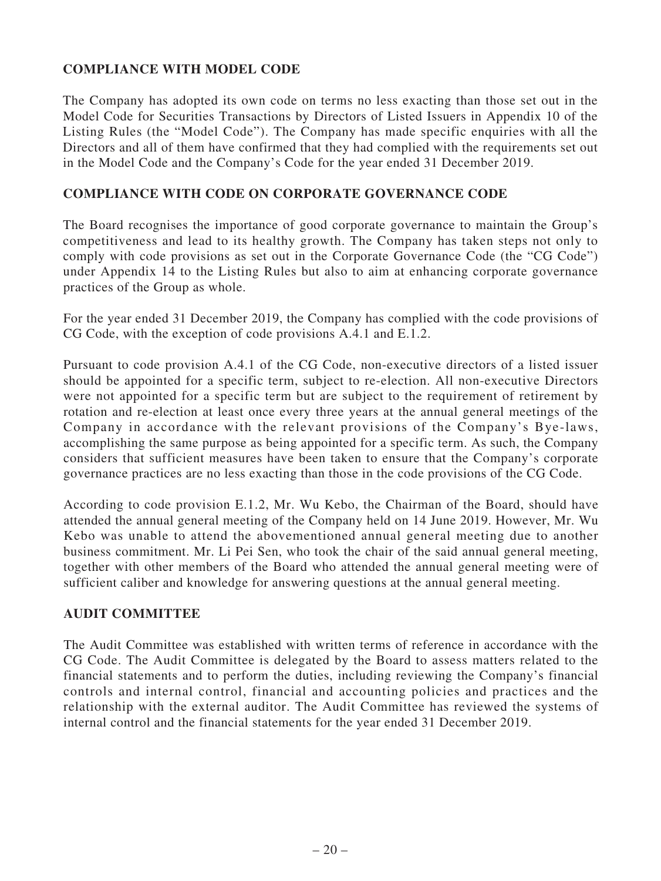# **COMPLIANCE WITH MODEL CODE**

The Company has adopted its own code on terms no less exacting than those set out in the Model Code for Securities Transactions by Directors of Listed Issuers in Appendix 10 of the Listing Rules (the "Model Code"). The Company has made specific enquiries with all the Directors and all of them have confirmed that they had complied with the requirements set out in the Model Code and the Company's Code for the year ended 31 December 2019.

## **COMPLIANCE WITH CODE ON CORPORATE GOVERNANCE CODE**

The Board recognises the importance of good corporate governance to maintain the Group's competitiveness and lead to its healthy growth. The Company has taken steps not only to comply with code provisions as set out in the Corporate Governance Code (the "CG Code") under Appendix 14 to the Listing Rules but also to aim at enhancing corporate governance practices of the Group as whole.

For the year ended 31 December 2019, the Company has complied with the code provisions of CG Code, with the exception of code provisions A.4.1 and E.1.2.

Pursuant to code provision A.4.1 of the CG Code, non-executive directors of a listed issuer should be appointed for a specific term, subject to re-election. All non-executive Directors were not appointed for a specific term but are subject to the requirement of retirement by rotation and re-election at least once every three years at the annual general meetings of the Company in accordance with the relevant provisions of the Company's Bye-laws, accomplishing the same purpose as being appointed for a specific term. As such, the Company considers that sufficient measures have been taken to ensure that the Company's corporate governance practices are no less exacting than those in the code provisions of the CG Code.

According to code provision E.1.2, Mr. Wu Kebo, the Chairman of the Board, should have attended the annual general meeting of the Company held on 14 June 2019. However, Mr. Wu Kebo was unable to attend the abovementioned annual general meeting due to another business commitment. Mr. Li Pei Sen, who took the chair of the said annual general meeting, together with other members of the Board who attended the annual general meeting were of sufficient caliber and knowledge for answering questions at the annual general meeting.

### **AUDIT COMMITTEE**

The Audit Committee was established with written terms of reference in accordance with the CG Code. The Audit Committee is delegated by the Board to assess matters related to the financial statements and to perform the duties, including reviewing the Company's financial controls and internal control, financial and accounting policies and practices and the relationship with the external auditor. The Audit Committee has reviewed the systems of internal control and the financial statements for the year ended 31 December 2019.